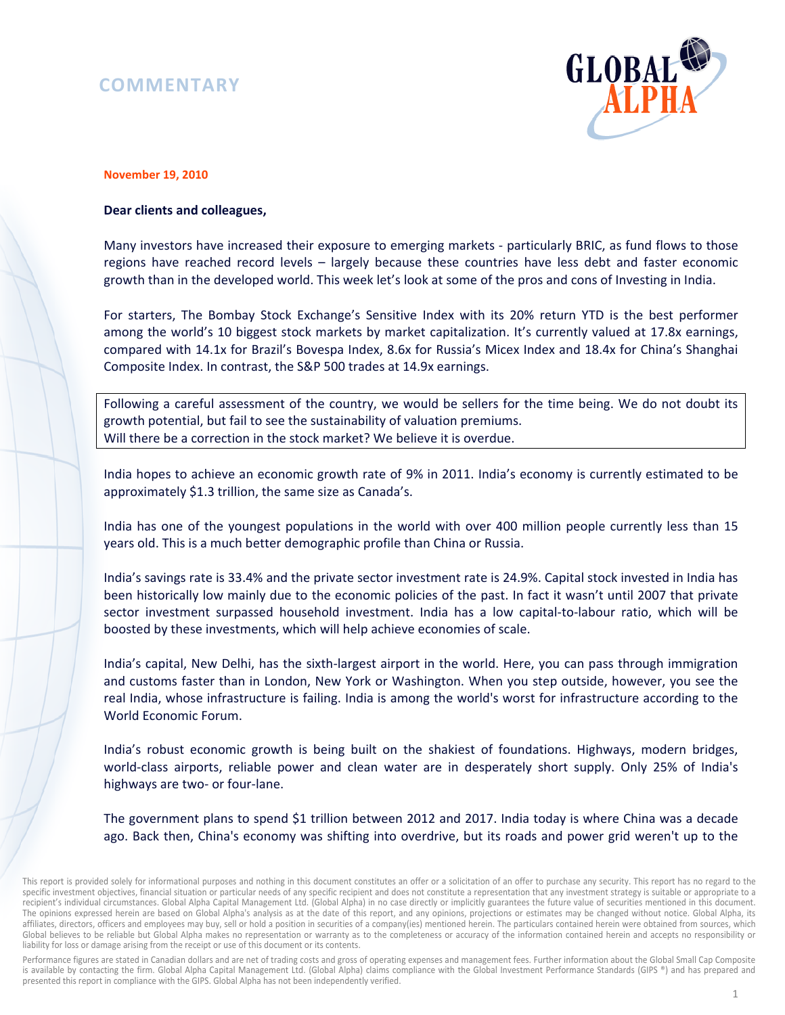# **COMMENTARY**



#### **November 19, 2010**

### **Dear clients and colleagues,**

Many investors have increased their exposure to emerging markets - particularly BRIC, as fund flows to those regions have reached record levels – largely because these countries have less debt and faster economic growth than in the developed world. This week let's look at some of the pros and cons of Investing in India.

For starters, The Bombay Stock Exchange's Sensitive Index with its 20% return YTD is the best performer among the world's 10 biggest stock markets by market capitalization. It's currently valued at 17.8x earnings, compared with 14.1x for Brazil's Bovespa Index, 8.6x for Russia's Micex Index and 18.4x for China's Shanghai Composite Index. In contrast, the S&P 500 trades at 14.9x earnings.

Following a careful assessment of the country, we would be sellers for the time being. We do not doubt its growth potential, but fail to see the sustainability of valuation premiums. Will there be a correction in the stock market? We believe it is overdue.

India hopes to achieve an economic growth rate of 9% in 2011. India's economy is currently estimated to be approximately \$1.3 trillion, the same size as Canada's.

India has one of the youngest populations in the world with over 400 million people currently less than 15 years old. This is a much better demographic profile than China or Russia.

India's savings rate is 33.4% and the private sector investment rate is 24.9%. Capital stock invested in India has been historically low mainly due to the economic policies of the past. In fact it wasn't until 2007 that private sector investment surpassed household investment. India has a low capital-to-labour ratio, which will be boosted by these investments, which will help achieve economies of scale.

India's capital, New Delhi, has the sixth-largest airport in the world. Here, you can pass through immigration and customs faster than in London, New York or Washington. When you step outside, however, you see the real India, whose infrastructure is failing. India is among the world's worst for infrastructure according to the World Economic Forum.

India's robust economic growth is being built on the shakiest of foundations. Highways, modern bridges, world-class airports, reliable power and clean water are in desperately short supply. Only 25% of India's highways are two- or four-lane.

The government plans to spend \$1 trillion between 2012 and 2017. India today is where China was a decade ago. Back then, China's economy was shifting into overdrive, but its roads and power grid weren't up to the

Performance figures are stated in Canadian dollars and are net of trading costs and gross of operating expenses and management fees. Further information about the Global Small Cap Composite is available by contacting the firm. Global Alpha Capital Management Ltd. (Global Alpha) claims compliance with the Global Investment Performance Standards (GIPS ®) and has prepared and presented this report in compliance with the GIPS. Global Alpha has not been independently verified.

This report is provided solely for informational purposes and nothing in this document constitutes an offer or a solicitation of an offer to purchase any security. This report has no regard to the specific investment objectives, financial situation or particular needs of any specific recipient and does not constitute a representation that any investment strategy is suitable or appropriate to a recipient's individual circumstances. Global Alpha Capital Management Ltd. (Global Alpha) in no case directly or implicitly guarantees the future value of securities mentioned in this document. The opinions expressed herein are based on Global Alpha's analysis as at the date of this report, and any opinions, projections or estimates may be changed without notice. Global Alpha, its affiliates, directors, officers and employees may buy, sell or hold a position in securities of a company(ies) mentioned herein. The particulars contained herein were obtained from sources, which Global believes to be reliable but Global Alpha makes no representation or warranty as to the completeness or accuracy of the information contained herein and accepts no responsibility or liability for loss or damage arising from the receipt or use of this document or its contents.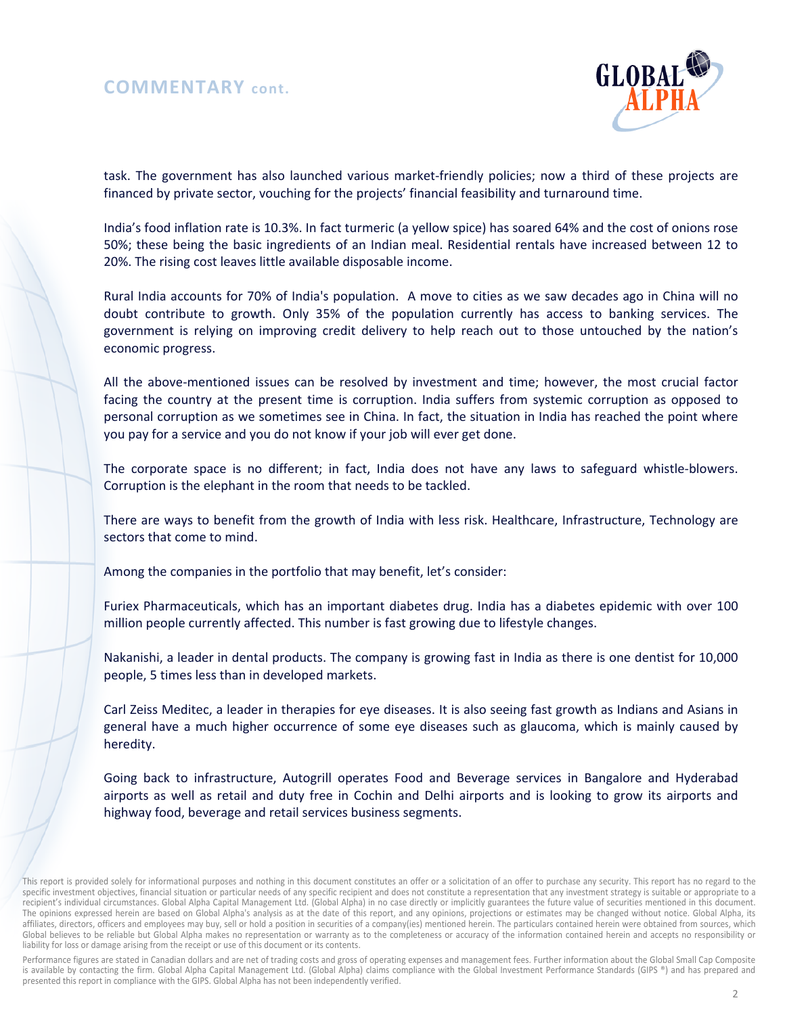## **COMMENTARY cont.**



task. The government has also launched various market-friendly policies; now a third of these projects are financed by private sector, vouching for the projects' financial feasibility and turnaround time.

India's food inflation rate is 10.3%. In fact turmeric (a yellow spice) has soared 64% and the cost of onions rose 50%; these being the basic ingredients of an Indian meal. Residential rentals have increased between 12 to 20%. The rising cost leaves little available disposable income.

Rural India accounts for 70% of India's population. A move to cities as we saw decades ago in China will no doubt contribute to growth. Only 35% of the population currently has access to banking services. The government is relying on improving credit delivery to help reach out to those untouched by the nation's economic progress.

All the above-mentioned issues can be resolved by investment and time; however, the most crucial factor facing the country at the present time is corruption. India suffers from systemic corruption as opposed to personal corruption as we sometimes see in China. In fact, the situation in India has reached the point where you pay for a service and you do not know if your job will ever get done.

The corporate space is no different; in fact, India does not have any laws to safeguard whistle-blowers. Corruption is the elephant in the room that needs to be tackled.

There are ways to benefit from the growth of India with less risk. Healthcare, Infrastructure, Technology are sectors that come to mind.

Among the companies in the portfolio that may benefit, let's consider:

Furiex Pharmaceuticals, which has an important diabetes drug. India has a diabetes epidemic with over 100 million people currently affected. This number is fast growing due to lifestyle changes.

Nakanishi, a leader in dental products. The company is growing fast in India as there is one dentist for 10,000 people, 5 times less than in developed markets.

Carl Zeiss Meditec, a leader in therapies for eye diseases. It is also seeing fast growth as Indians and Asians in general have a much higher occurrence of some eye diseases such as glaucoma, which is mainly caused by heredity.

Going back to infrastructure, Autogrill operates Food and Beverage services in Bangalore and Hyderabad airports as well as retail and duty free in Cochin and Delhi airports and is looking to grow its airports and highway food, beverage and retail services business segments.

Performance figures are stated in Canadian dollars and are net of trading costs and gross of operating expenses and management fees. Further information about the Global Small Cap Composite is available by contacting the firm. Global Alpha Capital Management Ltd. (Global Alpha) claims compliance with the Global Investment Performance Standards (GIPS ®) and has prepared and presented this report in compliance with the GIPS. Global Alpha has not been independently verified.

This report is provided solely for informational purposes and nothing in this document constitutes an offer or a solicitation of an offer to purchase any security. This report has no regard to the specific investment objectives, financial situation or particular needs of any specific recipient and does not constitute a representation that any investment strategy is suitable or appropriate to a recipient's individual circumstances. Global Alpha Capital Management Ltd. (Global Alpha) in no case directly or implicitly guarantees the future value of securities mentioned in this document. The opinions expressed herein are based on Global Alpha's analysis as at the date of this report, and any opinions, projections or estimates may be changed without notice. Global Alpha, its affiliates, directors, officers and employees may buy, sell or hold a position in securities of a company(ies) mentioned herein. The particulars contained herein were obtained from sources, which Global believes to be reliable but Global Alpha makes no representation or warranty as to the completeness or accuracy of the information contained herein and accepts no responsibility or liability for loss or damage arising from the receipt or use of this document or its contents.